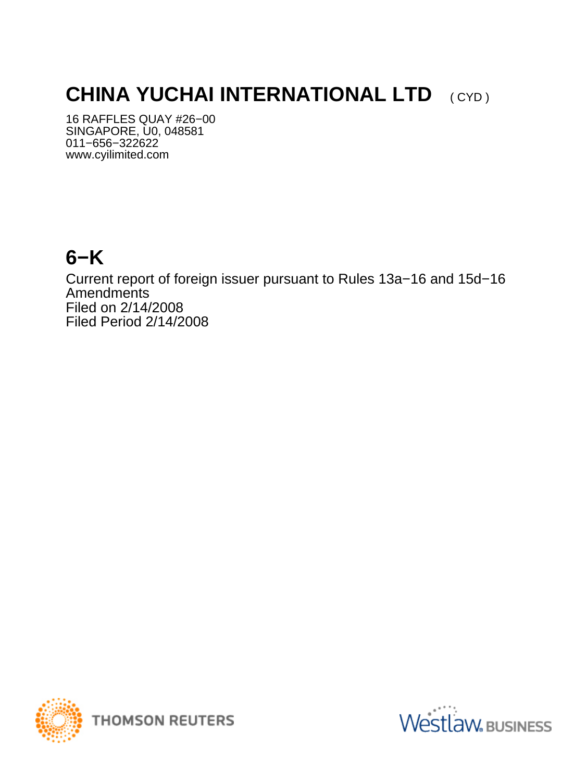# **CHINA YUCHAI INTERNATIONAL LTD** (CYD)

16 RAFFLES QUAY #26−00 SINGAPORE, U0, 048581 011−656−322622 www.cyilimited.com

### **6−K**

Current report of foreign issuer pursuant to Rules 13a−16 and 15d−16 Amendments Filed on 2/14/2008 Filed Period 2/14/2008



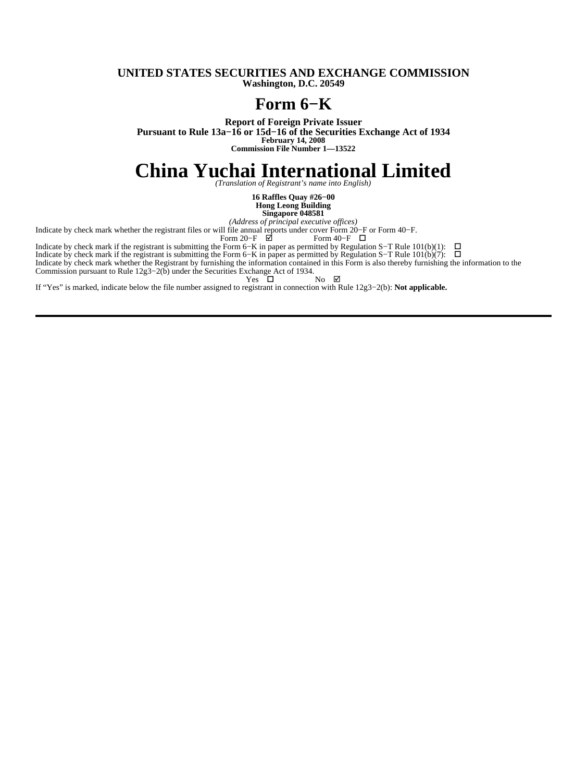#### **UNITED STATES SECURITIES AND EXCHANGE COMMISSION Washington, D.C. 20549**

### **Form 6−K**

**Report of Foreign Private Issuer Pursuant to Rule 13a−16 or 15d−16 of the Securities Exchange Act of 1934 February 14, 2008 Commission File Number 1—13522**

# China Yuchai International Limited

**16 Raffles Quay #26−00 Hong Leong Building**

**Singapore 048581**

*(Address of principal executive offices)*

Indicate by check mark whether the registrant files or will file annual reports under cover Form 20−F or Form 40−F.

Form 20−F ⊠ Form 40−F □

Indicate by check mark if the registrant is submitting the Form 6–K in paper as permitted by Regulation S–T Rule 101(b)(1): □

Indicate by check mark if the registrant is submitting the Form 6–K in paper as permitted by Regulation S–T Rule 101(b)(7): □

Indicate by check mark whether the Registrant by furnishing the information contained in this Form is also thereby furnishing the information to the Commission pursuant to Rule 12g3−2(b) under the Securities Exchange Act of 1934.

 $Yes \Box$  No  $\boxtimes$ 

If "Yes" is marked, indicate below the file number assigned to registrant in connection with Rule 12g3−2(b): **Not applicable.**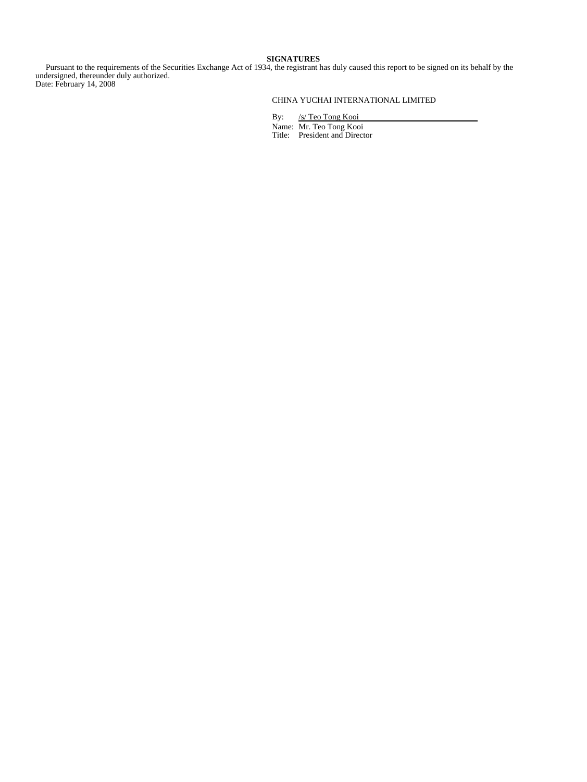#### **SIGNATURES**

 Pursuant to the requirements of the Securities Exchange Act of 1934, the registrant has duly caused this report to be signed on its behalf by the undersigned, thereunder duly authorized. Date: February 14, 2008

### CHINA YUCHAI INTERNATIONAL LIMITED

By: /s/ Teo Tong Kooi Name: Mr. Teo Tong Kooi Title: President and Director